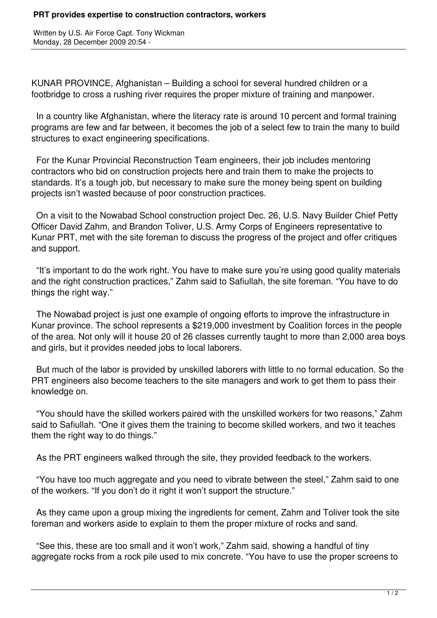Written by U.S. Air Force Capt. Tony Wickman Monday, 28 December 2009 20:54 -

KUNAR PROVINCE, Afghanistan – Building a school for several hundred children or a footbridge to cross a rushing river requires the proper mixture of training and manpower.

 In a country like Afghanistan, where the literacy rate is around 10 percent and formal training programs are few and far between, it becomes the job of a select few to train the many to build structures to exact engineering specifications.

 For the Kunar Provincial Reconstruction Team engineers, their job includes mentoring contractors who bid on construction projects here and train them to make the projects to standards. It's a tough job, but necessary to make sure the money being spent on building projects isn't wasted because of poor construction practices.

 On a visit to the Nowabad School construction project Dec. 26, U.S. Navy Builder Chief Petty Officer David Zahm, and Brandon Toliver, U.S. Army Corps of Engineers representative to Kunar PRT, met with the site foreman to discuss the progress of the project and offer critiques and support.

 "It's important to do the work right. You have to make sure you're using good quality materials and the right construction practices," Zahm said to Safiullah, the site foreman. "You have to do things the right way."

 The Nowabad project is just one example of ongoing efforts to improve the infrastructure in Kunar province. The school represents a \$219,000 investment by Coalition forces in the people of the area. Not only will it house 20 of 26 classes currently taught to more than 2,000 area boys and girls, but it provides needed jobs to local laborers.

 But much of the labor is provided by unskilled laborers with little to no formal education. So the PRT engineers also become teachers to the site managers and work to get them to pass their knowledge on.

 "You should have the skilled workers paired with the unskilled workers for two reasons," Zahm said to Safiullah. "One it gives them the training to become skilled workers, and two it teaches them the right way to do things."

As the PRT engineers walked through the site, they provided feedback to the workers.

 "You have too much aggregate and you need to vibrate between the steel," Zahm said to one of the workers. "If you don't do it right it won't support the structure."

 As they came upon a group mixing the ingredients for cement, Zahm and Toliver took the site foreman and workers aside to explain to them the proper mixture of rocks and sand.

 "See this, these are too small and it won't work," Zahm said, showing a handful of tiny aggregate rocks from a rock pile used to mix concrete. "You have to use the proper screens to